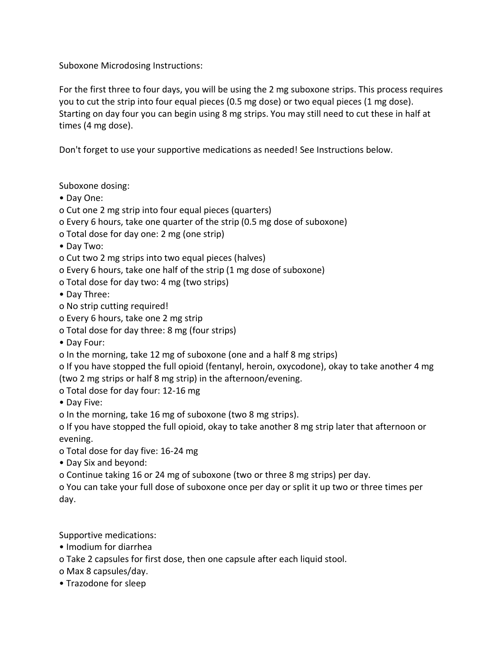Suboxone Microdosing Instructions:

For the first three to four days, you will be using the 2 mg suboxone strips. This process requires you to cut the strip into four equal pieces (0.5 mg dose) or two equal pieces (1 mg dose). Starting on day four you can begin using 8 mg strips. You may still need to cut these in half at times (4 mg dose).

Don't forget to use your supportive medications as needed! See Instructions below.

Suboxone dosing:

- Day One:
- o Cut one 2 mg strip into four equal pieces (quarters)
- o Every 6 hours, take one quarter of the strip (0.5 mg dose of suboxone)
- o Total dose for day one: 2 mg (one strip)
- Day Two:
- o Cut two 2 mg strips into two equal pieces (halves)
- o Every 6 hours, take one half of the strip (1 mg dose of suboxone)
- o Total dose for day two: 4 mg (two strips)
- Day Three:
- o No strip cutting required!
- o Every 6 hours, take one 2 mg strip
- o Total dose for day three: 8 mg (four strips)
- Day Four:
- o In the morning, take 12 mg of suboxone (one and a half 8 mg strips)
- o If you have stopped the full opioid (fentanyl, heroin, oxycodone), okay to take another 4 mg (two 2 mg strips or half 8 mg strip) in the afternoon/evening.
- o Total dose for day four: 12-16 mg

• Day Five:

o In the morning, take 16 mg of suboxone (two 8 mg strips).

o If you have stopped the full opioid, okay to take another 8 mg strip later that afternoon or evening.

- o Total dose for day five: 16-24 mg
- Day Six and beyond:

o Continue taking 16 or 24 mg of suboxone (two or three 8 mg strips) per day.

o You can take your full dose of suboxone once per day or split it up two or three times per day.

Supportive medications:

- Imodium for diarrhea
- o Take 2 capsules for first dose, then one capsule after each liquid stool.
- o Max 8 capsules/day.
- Trazodone for sleep